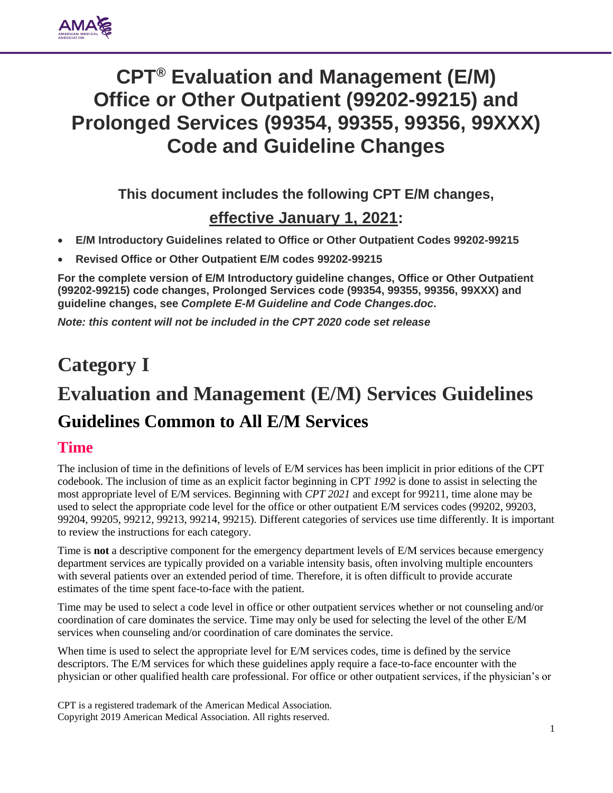

# **CPT® Evaluation and Management (E/M) Office or Other Outpatient (99202-99215) and Prolonged Services (99354, 99355, 99356, 99XXX) Code and Guideline Changes**

**This document includes the following CPT E/M changes,** 

### **effective January 1, 2021:**

- **E/M Introductory Guidelines related to Office or Other Outpatient Codes 99202-99215**
- **Revised Office or Other Outpatient E/M codes 99202-99215**

**For the complete version of E/M Introductory guideline changes, Office or Other Outpatient (99202-99215) code changes, Prolonged Services code (99354, 99355, 99356, 99XXX) and guideline changes, see** *Complete E-M Guideline and Code Changes.doc***.**

*Note: this content will not be included in the CPT 2020 code set release*

# **Category I**

# **Evaluation and Management (E/M) Services Guidelines Guidelines Common to All E/M Services**

### **Time**

The inclusion of time in the definitions of levels of E/M services has been implicit in prior editions of the CPT codebook. The inclusion of time as an explicit factor beginning in CPT *1992* is done to assist in selecting the most appropriate level of E/M services. Beginning with *CPT 2021* and except for 99211, time alone may be used to select the appropriate code level for the office or other outpatient E/M services codes (99202, 99203, 99204, 99205, 99212, 99213, 99214, 99215). Different categories of services use time differently. It is important to review the instructions for each category.

Time is **not** a descriptive component for the emergency department levels of E/M services because emergency department services are typically provided on a variable intensity basis, often involving multiple encounters with several patients over an extended period of time. Therefore, it is often difficult to provide accurate estimates of the time spent face-to-face with the patient.

Time may be used to select a code level in office or other outpatient services whether or not counseling and/or coordination of care dominates the service. Time may only be used for selecting the level of the other E/M services when counseling and/or coordination of care dominates the service.

When time is used to select the appropriate level for E/M services codes, time is defined by the service descriptors. The E/M services for which these guidelines apply require a face-to-face encounter with the physician or other qualified health care professional. For office or other outpatient services, if the physician's or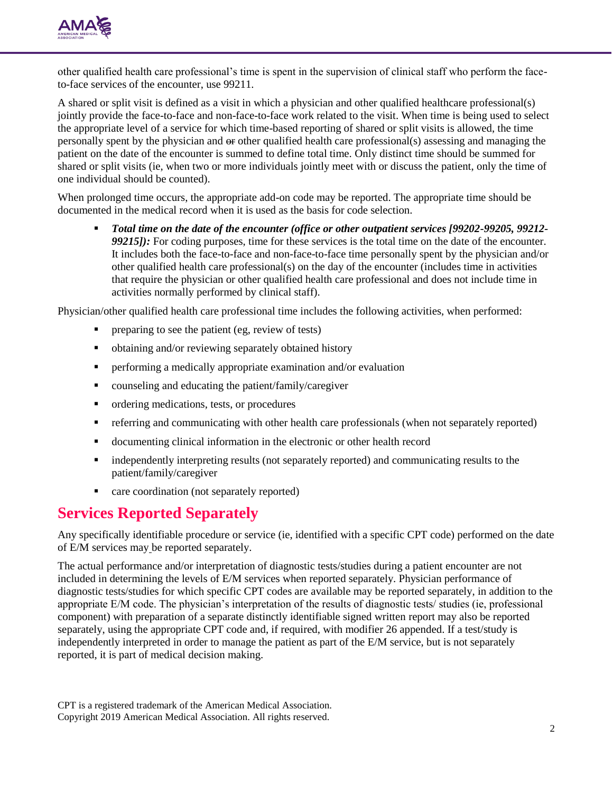

other qualified health care professional's time is spent in the supervision of clinical staff who perform the faceto-face services of the encounter, use 99211.

A shared or split visit is defined as a visit in which a physician and other qualified healthcare professional(s) jointly provide the face-to-face and non-face-to-face work related to the visit. When time is being used to select the appropriate level of a service for which time-based reporting of shared or split visits is allowed, the time personally spent by the physician and  $\Theta$  other qualified health care professional(s) assessing and managing the patient on the date of the encounter is summed to define total time. Only distinct time should be summed for shared or split visits (ie, when two or more individuals jointly meet with or discuss the patient, only the time of one individual should be counted).

When prolonged time occurs, the appropriate add-on code may be reported. The appropriate time should be documented in the medical record when it is used as the basis for code selection.

▪ *Total time on the date of the encounter (office or other outpatient services [99202-99205, 99212- 99215]):* For coding purposes, time for these services is the total time on the date of the encounter. It includes both the face-to-face and non-face-to-face time personally spent by the physician and/or other qualified health care professional(s) on the day of the encounter (includes time in activities that require the physician or other qualified health care professional and does not include time in activities normally performed by clinical staff).

Physician/other qualified health care professional time includes the following activities, when performed:

- **•** preparing to see the patient (eg, review of tests)
- obtaining and/or reviewing separately obtained history
- **•** performing a medically appropriate examination and/or evaluation
- counseling and educating the patient/family/caregiver
- ordering medications, tests, or procedures
- **•** referring and communicating with other health care professionals (when not separately reported)
- documenting clinical information in the electronic or other health record
- **•** independently interpreting results (not separately reported) and communicating results to the patient/family/caregiver
- care coordination (not separately reported)

### **Services Reported Separately**

Any specifically identifiable procedure or service (ie, identified with a specific CPT code) performed on the date of E/M services may be reported separately.

The actual performance and/or interpretation of diagnostic tests/studies during a patient encounter are not included in determining the levels of E/M services when reported separately. Physician performance of diagnostic tests/studies for which specific CPT codes are available may be reported separately, in addition to the appropriate E/M code. The physician's interpretation of the results of diagnostic tests/ studies (ie, professional component) with preparation of a separate distinctly identifiable signed written report may also be reported separately, using the appropriate CPT code and, if required, with modifier 26 appended. If a test/study is independently interpreted in order to manage the patient as part of the E/M service, but is not separately reported, it is part of medical decision making.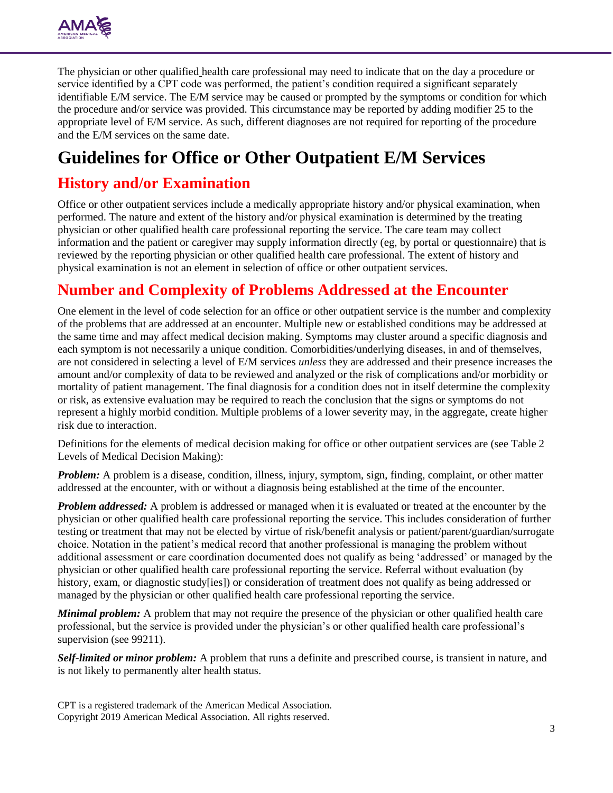

The physician or other qualified health care professional may need to indicate that on the day a procedure or service identified by a CPT code was performed, the patient's condition required a significant separately identifiable E/M service. The E/M service may be caused or prompted by the symptoms or condition for which the procedure and/or service was provided. This circumstance may be reported by adding modifier 25 to the appropriate level of E/M service. As such, different diagnoses are not required for reporting of the procedure and the E/M services on the same date.

# **Guidelines for Office or Other Outpatient E/M Services**

### **History and/or Examination**

Office or other outpatient services include a medically appropriate history and/or physical examination, when performed. The nature and extent of the history and/or physical examination is determined by the treating physician or other qualified health care professional reporting the service. The care team may collect information and the patient or caregiver may supply information directly (eg, by portal or questionnaire) that is reviewed by the reporting physician or other qualified health care professional. The extent of history and physical examination is not an element in selection of office or other outpatient services.

### **Number and Complexity of Problems Addressed at the Encounter**

One element in the level of code selection for an office or other outpatient service is the number and complexity of the problems that are addressed at an encounter. Multiple new or established conditions may be addressed at the same time and may affect medical decision making. Symptoms may cluster around a specific diagnosis and each symptom is not necessarily a unique condition. Comorbidities/underlying diseases, in and of themselves, are not considered in selecting a level of E/M services *unless* they are addressed and their presence increases the amount and/or complexity of data to be reviewed and analyzed or the risk of complications and/or morbidity or mortality of patient management. The final diagnosis for a condition does not in itself determine the complexity or risk, as extensive evaluation may be required to reach the conclusion that the signs or symptoms do not represent a highly morbid condition. Multiple problems of a lower severity may, in the aggregate, create higher risk due to interaction.

Definitions for the elements of medical decision making for office or other outpatient services are (see Table 2 Levels of Medical Decision Making):

*Problem:* A problem is a disease, condition, illness, injury, symptom, sign, finding, complaint, or other matter addressed at the encounter, with or without a diagnosis being established at the time of the encounter.

*Problem addressed:* A problem is addressed or managed when it is evaluated or treated at the encounter by the physician or other qualified health care professional reporting the service. This includes consideration of further testing or treatment that may not be elected by virtue of risk/benefit analysis or patient/parent/guardian/surrogate choice. Notation in the patient's medical record that another professional is managing the problem without additional assessment or care coordination documented does not qualify as being 'addressed' or managed by the physician or other qualified health care professional reporting the service. Referral without evaluation (by history, exam, or diagnostic study[ies]) or consideration of treatment does not qualify as being addressed or managed by the physician or other qualified health care professional reporting the service.

*Minimal problem:* A problem that may not require the presence of the physician or other qualified health care professional, but the service is provided under the physician's or other qualified health care professional's supervision (see 99211).

*Self-limited or minor problem:* A problem that runs a definite and prescribed course, is transient in nature, and is not likely to permanently alter health status.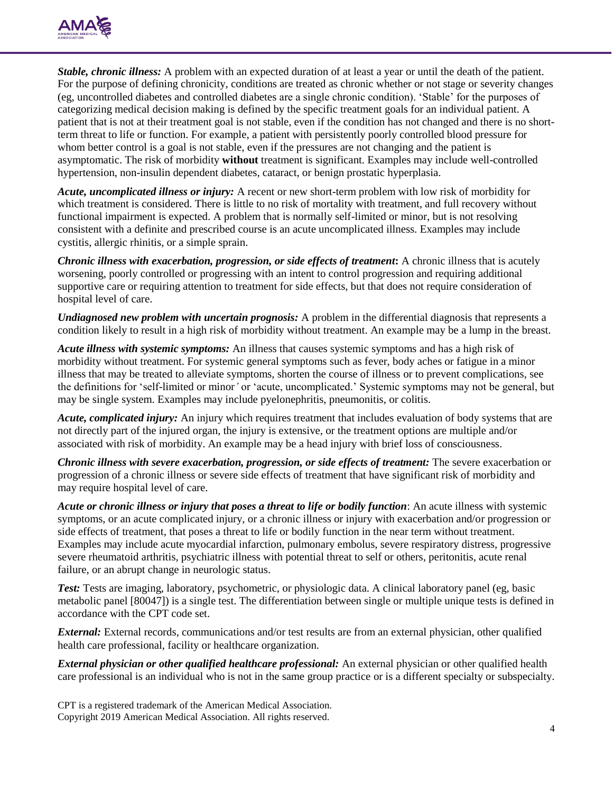

*Stable, chronic illness:* A problem with an expected duration of at least a year or until the death of the patient. For the purpose of defining chronicity, conditions are treated as chronic whether or not stage or severity changes (eg, uncontrolled diabetes and controlled diabetes are a single chronic condition). 'Stable' for the purposes of categorizing medical decision making is defined by the specific treatment goals for an individual patient. A patient that is not at their treatment goal is not stable, even if the condition has not changed and there is no shortterm threat to life or function. For example, a patient with persistently poorly controlled blood pressure for whom better control is a goal is not stable, even if the pressures are not changing and the patient is asymptomatic. The risk of morbidity **without** treatment is significant. Examples may include well-controlled hypertension, non-insulin dependent diabetes, cataract, or benign prostatic hyperplasia.

*Acute, uncomplicated illness or injury:* A recent or new short-term problem with low risk of morbidity for which treatment is considered. There is little to no risk of mortality with treatment, and full recovery without functional impairment is expected. A problem that is normally self-limited or minor, but is not resolving consistent with a definite and prescribed course is an acute uncomplicated illness. Examples may include cystitis, allergic rhinitis, or a simple sprain.

*Chronic illness with exacerbation, progression, or side effects of treatment***:** A chronic illness that is acutely worsening, poorly controlled or progressing with an intent to control progression and requiring additional supportive care or requiring attention to treatment for side effects, but that does not require consideration of hospital level of care.

*Undiagnosed new problem with uncertain prognosis:* A problem in the differential diagnosis that represents a condition likely to result in a high risk of morbidity without treatment. An example may be a lump in the breast.

*Acute illness with systemic symptoms:* An illness that causes systemic symptoms and has a high risk of morbidity without treatment. For systemic general symptoms such as fever, body aches or fatigue in a minor illness that may be treated to alleviate symptoms, shorten the course of illness or to prevent complications, see the definitions for 'self-limited or minor*'* or 'acute, uncomplicated.' Systemic symptoms may not be general, but may be single system. Examples may include pyelonephritis, pneumonitis, or colitis.

*Acute, complicated injury:* An injury which requires treatment that includes evaluation of body systems that are not directly part of the injured organ, the injury is extensive, or the treatment options are multiple and/or associated with risk of morbidity. An example may be a head injury with brief loss of consciousness.

*Chronic illness with severe exacerbation, progression, or side effects of treatment:* The severe exacerbation or progression of a chronic illness or severe side effects of treatment that have significant risk of morbidity and may require hospital level of care.

*Acute or chronic illness or injury that poses a threat to life or bodily function*: An acute illness with systemic symptoms, or an acute complicated injury, or a chronic illness or injury with exacerbation and/or progression or side effects of treatment, that poses a threat to life or bodily function in the near term without treatment. Examples may include acute myocardial infarction, pulmonary embolus, severe respiratory distress, progressive severe rheumatoid arthritis, psychiatric illness with potential threat to self or others, peritonitis, acute renal failure, or an abrupt change in neurologic status.

*Test:* Tests are imaging, laboratory, psychometric, or physiologic data. A clinical laboratory panel (eg, basic metabolic panel [80047]) is a single test. The differentiation between single or multiple unique tests is defined in accordance with the CPT code set.

*External:* External records, communications and/or test results are from an external physician, other qualified health care professional, facility or healthcare organization.

*External physician or other qualified healthcare professional:* An external physician or other qualified health care professional is an individual who is not in the same group practice or is a different specialty or subspecialty.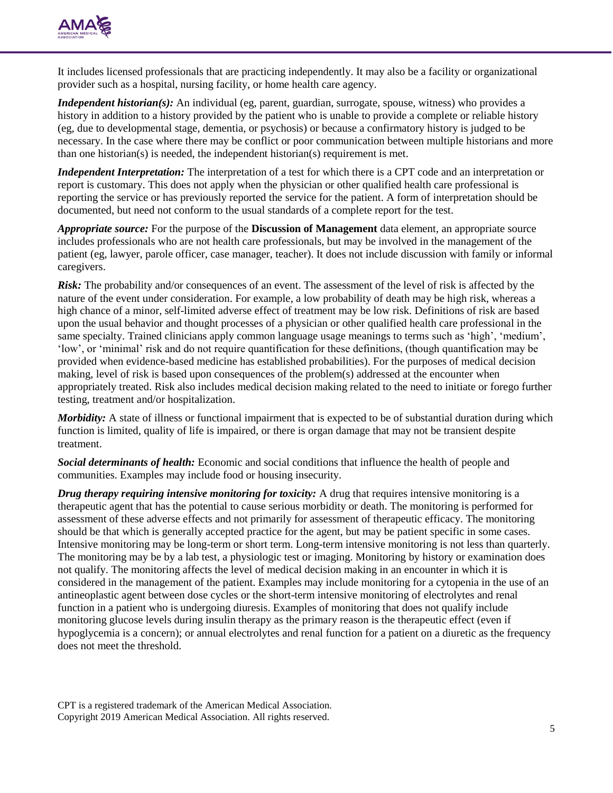

It includes licensed professionals that are practicing independently. It may also be a facility or organizational provider such as a hospital, nursing facility, or home health care agency.

*Independent historian(s):* An individual (eg, parent, guardian, surrogate, spouse, witness) who provides a history in addition to a history provided by the patient who is unable to provide a complete or reliable history (eg, due to developmental stage, dementia, or psychosis) or because a confirmatory history is judged to be necessary. In the case where there may be conflict or poor communication between multiple historians and more than one historian(s) is needed, the independent historian(s) requirement is met.

*Independent Interpretation:* The interpretation of a test for which there is a CPT code and an interpretation or report is customary. This does not apply when the physician or other qualified health care professional is reporting the service or has previously reported the service for the patient. A form of interpretation should be documented, but need not conform to the usual standards of a complete report for the test.

*Appropriate source:* For the purpose of the **Discussion of Management** data element, an appropriate source includes professionals who are not health care professionals, but may be involved in the management of the patient (eg, lawyer, parole officer, case manager, teacher). It does not include discussion with family or informal caregivers.

*Risk:* The probability and/or consequences of an event. The assessment of the level of risk is affected by the nature of the event under consideration. For example, a low probability of death may be high risk, whereas a high chance of a minor, self-limited adverse effect of treatment may be low risk. Definitions of risk are based upon the usual behavior and thought processes of a physician or other qualified health care professional in the same specialty. Trained clinicians apply common language usage meanings to terms such as 'high', 'medium', 'low', or 'minimal' risk and do not require quantification for these definitions, (though quantification may be provided when evidence-based medicine has established probabilities). For the purposes of medical decision making, level of risk is based upon consequences of the problem(s) addressed at the encounter when appropriately treated. Risk also includes medical decision making related to the need to initiate or forego further testing, treatment and/or hospitalization.

*Morbidity:* A state of illness or functional impairment that is expected to be of substantial duration during which function is limited, quality of life is impaired, or there is organ damage that may not be transient despite treatment.

*Social determinants of health:* Economic and social conditions that influence the health of people and communities. Examples may include food or housing insecurity.

*Drug therapy requiring intensive monitoring for toxicity:* A drug that requires intensive monitoring is a therapeutic agent that has the potential to cause serious morbidity or death. The monitoring is performed for assessment of these adverse effects and not primarily for assessment of therapeutic efficacy. The monitoring should be that which is generally accepted practice for the agent, but may be patient specific in some cases. Intensive monitoring may be long-term or short term. Long-term intensive monitoring is not less than quarterly. The monitoring may be by a lab test, a physiologic test or imaging. Monitoring by history or examination does not qualify. The monitoring affects the level of medical decision making in an encounter in which it is considered in the management of the patient. Examples may include monitoring for a cytopenia in the use of an antineoplastic agent between dose cycles or the short-term intensive monitoring of electrolytes and renal function in a patient who is undergoing diuresis. Examples of monitoring that does not qualify include monitoring glucose levels during insulin therapy as the primary reason is the therapeutic effect (even if hypoglycemia is a concern); or annual electrolytes and renal function for a patient on a diuretic as the frequency does not meet the threshold.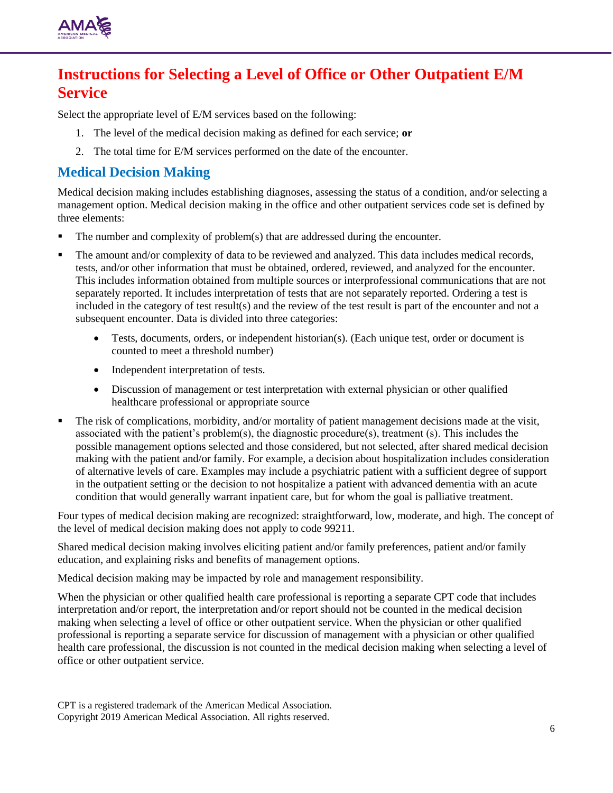

### **Instructions for Selecting a Level of Office or Other Outpatient E/M Service**

Select the appropriate level of E/M services based on the following:

- 1. The level of the medical decision making as defined for each service; **or**
- 2. The total time for E/M services performed on the date of the encounter.

### **Medical Decision Making**

Medical decision making includes establishing diagnoses, assessing the status of a condition, and/or selecting a management option. Medical decision making in the office and other outpatient services code set is defined by three elements:

- The number and complexity of problem(s) that are addressed during the encounter.
- The amount and/or complexity of data to be reviewed and analyzed. This data includes medical records, tests, and/or other information that must be obtained, ordered, reviewed, and analyzed for the encounter. This includes information obtained from multiple sources or interprofessional communications that are not separately reported. It includes interpretation of tests that are not separately reported. Ordering a test is included in the category of test result(s) and the review of the test result is part of the encounter and not a subsequent encounter. Data is divided into three categories:
	- Tests, documents, orders, or independent historian(s). (Each unique test, order or document is counted to meet a threshold number)
	- Independent interpretation of tests.
	- Discussion of management or test interpretation with external physician or other qualified healthcare professional or appropriate source
- The risk of complications, morbidity, and/or mortality of patient management decisions made at the visit, associated with the patient's problem(s), the diagnostic procedure(s), treatment (s). This includes the possible management options selected and those considered, but not selected, after shared medical decision making with the patient and/or family. For example, a decision about hospitalization includes consideration of alternative levels of care. Examples may include a psychiatric patient with a sufficient degree of support in the outpatient setting or the decision to not hospitalize a patient with advanced dementia with an acute condition that would generally warrant inpatient care, but for whom the goal is palliative treatment.

Four types of medical decision making are recognized: straightforward, low, moderate, and high. The concept of the level of medical decision making does not apply to code 99211.

Shared medical decision making involves eliciting patient and/or family preferences, patient and/or family education, and explaining risks and benefits of management options.

Medical decision making may be impacted by role and management responsibility.

When the physician or other qualified health care professional is reporting a separate CPT code that includes interpretation and/or report, the interpretation and/or report should not be counted in the medical decision making when selecting a level of office or other outpatient service. When the physician or other qualified professional is reporting a separate service for discussion of management with a physician or other qualified health care professional, the discussion is not counted in the medical decision making when selecting a level of office or other outpatient service.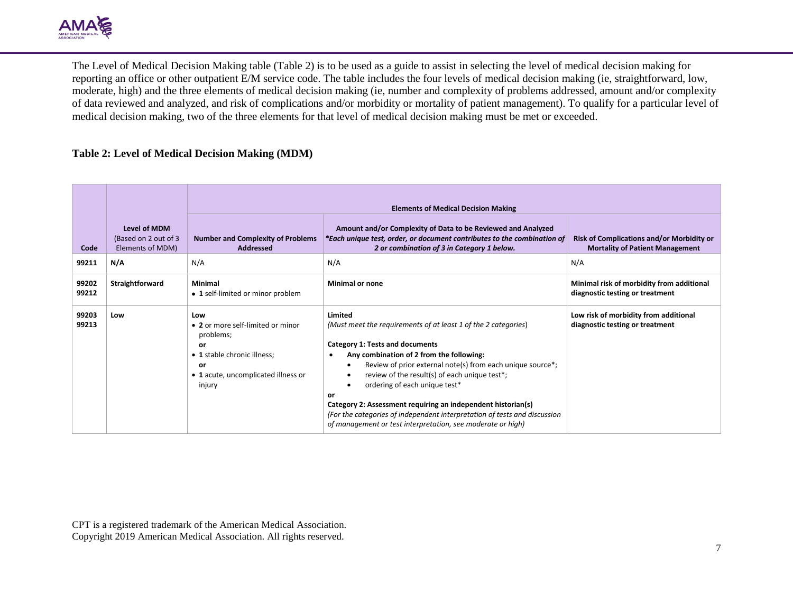

The Level of Medical Decision Making table (Table 2) is to be used as a guide to assist in selecting the level of medical decision making for reporting an office or other outpatient E/M service code. The table includes the four levels of medical decision making (ie, straightforward, low, moderate, high) and the three elements of medical decision making (ie, number and complexity of problems addressed, amount and/or complexity of data reviewed and analyzed, and risk of complications and/or morbidity or mortality of patient management). To qualify for a particular level of medical decision making, two of the three elements for that level of medical decision making must be met or exceeded.

#### **Table 2: Level of Medical Decision Making (MDM)**

|                |                                                          | <b>Elements of Medical Decision Making</b>                                                                                                        |                                                                                                                                                                                                                                                                                                                                                                                                                                                                                                                                   |                                                                                            |
|----------------|----------------------------------------------------------|---------------------------------------------------------------------------------------------------------------------------------------------------|-----------------------------------------------------------------------------------------------------------------------------------------------------------------------------------------------------------------------------------------------------------------------------------------------------------------------------------------------------------------------------------------------------------------------------------------------------------------------------------------------------------------------------------|--------------------------------------------------------------------------------------------|
| Code           | Level of MDM<br>(Based on 2 out of 3<br>Elements of MDM) | <b>Number and Complexity of Problems</b><br><b>Addressed</b>                                                                                      | Amount and/or Complexity of Data to be Reviewed and Analyzed<br>*Each unique test, order, or document contributes to the combination of<br>2 or combination of 3 in Category 1 below.                                                                                                                                                                                                                                                                                                                                             | <b>Risk of Complications and/or Morbidity or</b><br><b>Mortality of Patient Management</b> |
| 99211          | N/A                                                      | N/A                                                                                                                                               | N/A                                                                                                                                                                                                                                                                                                                                                                                                                                                                                                                               | N/A                                                                                        |
| 99202<br>99212 | Straightforward                                          | Minimal<br>• 1 self-limited or minor problem                                                                                                      | <b>Minimal or none</b>                                                                                                                                                                                                                                                                                                                                                                                                                                                                                                            | Minimal risk of morbidity from additional<br>diagnostic testing or treatment               |
| 99203<br>99213 | Low                                                      | Low<br>• 2 or more self-limited or minor<br>problems;<br>or<br>• 1 stable chronic illness;<br>or<br>• 1 acute, uncomplicated illness or<br>injury | Limited<br>(Must meet the requirements of at least 1 of the 2 categories)<br><b>Category 1: Tests and documents</b><br>Any combination of 2 from the following:<br>Review of prior external note(s) from each unique source*;<br>review of the result(s) of each unique test*;<br>ordering of each unique test*<br>or<br>Category 2: Assessment requiring an independent historian(s)<br>(For the categories of independent interpretation of tests and discussion<br>of management or test interpretation, see moderate or high) | Low risk of morbidity from additional<br>diagnostic testing or treatment                   |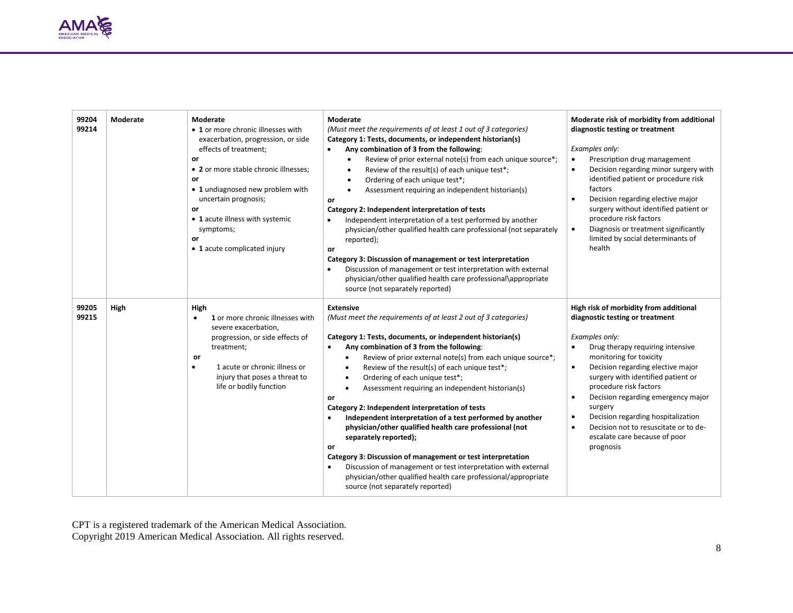

| 99204<br>99214 | Moderate | Moderate<br>• 1 or more chronic illnesses with<br>exacerbation, progression, or side<br>effects of treatment;<br>or<br>• 2 or more stable chronic illnesses;<br>or<br>• 1 undiagnosed new problem with<br>uncertain prognosis;<br>or<br>• 1 acute illness with systemic<br>symptoms;<br>or<br>• 1 acute complicated injury | Moderate<br>(Must meet the requirements of at least 1 out of 3 categories)<br>Category 1: Tests, documents, or independent historian(s)<br>Any combination of 3 from the following:<br>$\bullet$<br>Review of prior external note(s) from each unique source*;<br>$\bullet$<br>Review of the result(s) of each unique test*;<br>$\bullet$<br>Ordering of each unique test*;<br>Assessment requiring an independent historian(s)<br>or<br>Category 2: Independent interpretation of tests<br>Independent interpretation of a test performed by another<br>$\bullet$<br>physician/other qualified health care professional (not separately<br>reported);<br>or<br>Category 3: Discussion of management or test interpretation<br>Discussion of management or test interpretation with external<br>$\bullet$<br>physician/other qualified health care professional\appropriate<br>source (not separately reported)                             | Moderate risk of morbidity from additional<br>diagnostic testing or treatment<br>Examples only:<br>Prescription drug management<br>$\bullet$<br>Decision regarding minor surgery with<br>$\bullet$<br>identified patient or procedure risk<br>factors<br>Decision regarding elective major<br>$\bullet$<br>surgery without identified patient or<br>procedure risk factors<br>Diagnosis or treatment significantly<br>$\bullet$<br>limited by social determinants of<br>health                                 |
|----------------|----------|----------------------------------------------------------------------------------------------------------------------------------------------------------------------------------------------------------------------------------------------------------------------------------------------------------------------------|---------------------------------------------------------------------------------------------------------------------------------------------------------------------------------------------------------------------------------------------------------------------------------------------------------------------------------------------------------------------------------------------------------------------------------------------------------------------------------------------------------------------------------------------------------------------------------------------------------------------------------------------------------------------------------------------------------------------------------------------------------------------------------------------------------------------------------------------------------------------------------------------------------------------------------------------|----------------------------------------------------------------------------------------------------------------------------------------------------------------------------------------------------------------------------------------------------------------------------------------------------------------------------------------------------------------------------------------------------------------------------------------------------------------------------------------------------------------|
| 99205<br>99215 | High     | High<br>1 or more chronic illnesses with<br>$\bullet$<br>severe exacerbation,<br>progression, or side effects of<br>treatment;<br>or<br>1 acute or chronic illness or<br>$\bullet$<br>injury that poses a threat to<br>life or bodily function                                                                             | <b>Extensive</b><br>(Must meet the requirements of at least 2 out of 3 categories)<br>Category 1: Tests, documents, or independent historian(s)<br>Any combination of 3 from the following:<br>$\bullet$<br>Review of prior external note(s) from each unique source*;<br>$\bullet$<br>Review of the result(s) of each unique test*;<br>$\bullet$<br>Ordering of each unique test*;<br>$\bullet$<br>Assessment requiring an independent historian(s)<br>$\bullet$<br>or<br>Category 2: Independent interpretation of tests<br>Independent interpretation of a test performed by another<br>$\bullet$<br>physician/other qualified health care professional (not<br>separately reported);<br><b>or</b><br>Category 3: Discussion of management or test interpretation<br>Discussion of management or test interpretation with external<br>physician/other qualified health care professional/appropriate<br>source (not separately reported) | High risk of morbidity from additional<br>diagnostic testing or treatment<br>Examples only:<br>Drug therapy requiring intensive<br>$\bullet$<br>monitoring for toxicity<br>Decision regarding elective major<br>$\bullet$<br>surgery with identified patient or<br>procedure risk factors<br>Decision regarding emergency major<br>$\bullet$<br>surgery<br>Decision regarding hospitalization<br>$\bullet$<br>Decision not to resuscitate or to de-<br>$\bullet$<br>escalate care because of poor<br>prognosis |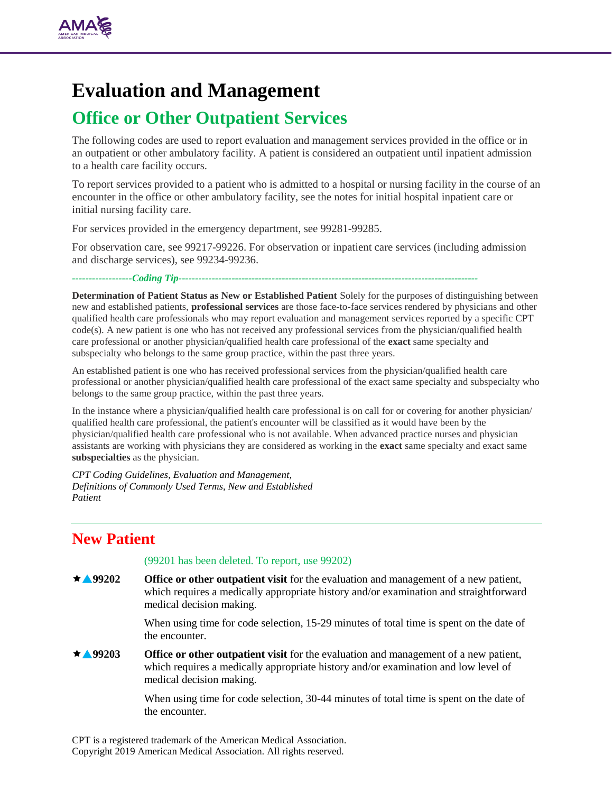

# **Evaluation and Management**

## **Office or Other Outpatient Services**

The following codes are used to report evaluation and management services provided in the office or in an outpatient or other ambulatory facility. A patient is considered an outpatient until inpatient admission to a health care facility occurs.

To report services provided to a patient who is admitted to a hospital or nursing facility in the course of an encounter in the office or other ambulatory facility, see the notes for initial hospital inpatient care or initial nursing facility care.

For services provided in the emergency department, see 99281-99285.

For observation care, see 99217-99226. For observation or inpatient care services (including admission and discharge services), see 99234-99236.

*------------------Coding Tip------------------------------------------------------------------------------------------*

**Determination of Patient Status as New or Established Patient** Solely for the purposes of distinguishing between new and established patients, **professional services** are those face-to-face services rendered by physicians and other qualified health care professionals who may report evaluation and management services reported by a specific CPT code(s). A new patient is one who has not received any professional services from the physician/qualified health care professional or another physician/qualified health care professional of the **exact** same specialty and subspecialty who belongs to the same group practice, within the past three years.

An established patient is one who has received professional services from the physician/qualified health care professional or another physician/qualified health care professional of the exact same specialty and subspecialty who belongs to the same group practice, within the past three years.

In the instance where a physician/qualified health care professional is on call for or covering for another physician/ qualified health care professional, the patient's encounter will be classified as it would have been by the physician/qualified health care professional who is not available. When advanced practice nurses and physician assistants are working with physicians they are considered as working in the **exact** same specialty and exact same **subspecialties** as the physician.

*CPT Coding Guidelines, Evaluation and Management, Definitions of Commonly Used Terms, New and Established Patient*

### **New Patient**

(99201 has been deleted. To report, use 99202)

**★ <u>A</u>99202 Office or other outpatient visit** for the evaluation and management of a new patient, which requires a medically appropriate history and/or examination and straightforward medical decision making.

> When using time for code selection, 15-29 minutes of total time is spent on the date of the encounter.

★ **499203** Office or other outpatient visit for the evaluation and management of a new patient, which requires a medically appropriate history and/or examination and low level of medical decision making.

> When using time for code selection, 30-44 minutes of total time is spent on the date of the encounter.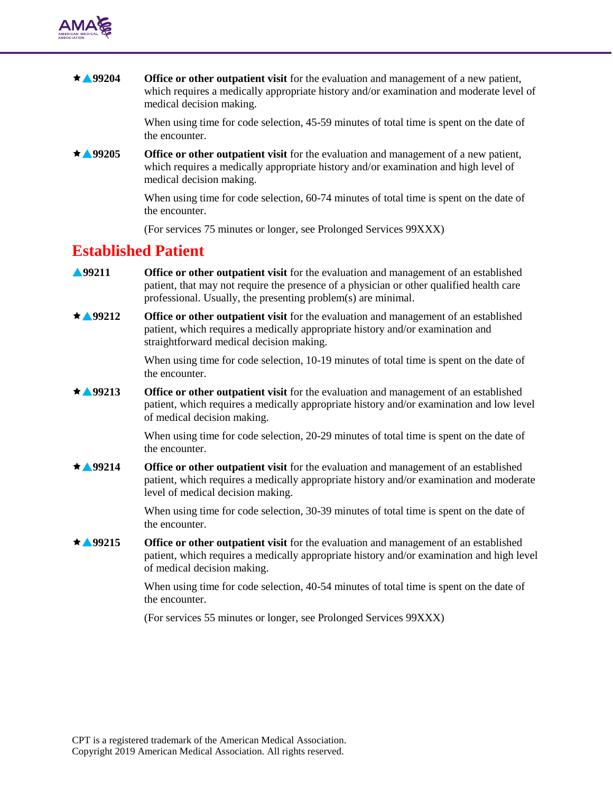

**★ <u>A</u>99204** Office or other outpatient visit for the evaluation and management of a new patient, which requires a medically appropriate history and/or examination and moderate level of medical decision making.

> When using time for code selection, 45-59 minutes of total time is spent on the date of the encounter.

**★ 99205** Office or other outpatient visit for the evaluation and management of a new patient, which requires a medically appropriate history and/or examination and high level of medical decision making.

> When using time for code selection, 60-74 minutes of total time is spent on the date of the encounter.

(For services 75 minutes or longer, see Prolonged Services 99XXX)

### **Established Patient**

- **499211 Office or other outpatient visit** for the evaluation and management of an established patient, that may not require the presence of a physician or other qualified health care professional. Usually, the presenting problem(s) are minimal.
- **★ <u>A</u>99212** Office or other outpatient visit for the evaluation and management of an established patient, which requires a medically appropriate history and/or examination and straightforward medical decision making.

When using time for code selection, 10-19 minutes of total time is spent on the date of the encounter.

**★ <u>A</u>99213 Office or other outpatient visit** for the evaluation and management of an established patient, which requires a medically appropriate history and/or examination and low level of medical decision making.

> When using time for code selection, 20-29 minutes of total time is spent on the date of the encounter.

**★ 99214** Office or other outpatient visit for the evaluation and management of an established patient, which requires a medically appropriate history and/or examination and moderate level of medical decision making.

> When using time for code selection, 30-39 minutes of total time is spent on the date of the encounter.

**★▲99215** Office or other outpatient visit for the evaluation and management of an established patient, which requires a medically appropriate history and/or examination and high level of medical decision making.

> When using time for code selection, 40-54 minutes of total time is spent on the date of the encounter.

(For services 55 minutes or longer, see Prolonged Services 99XXX)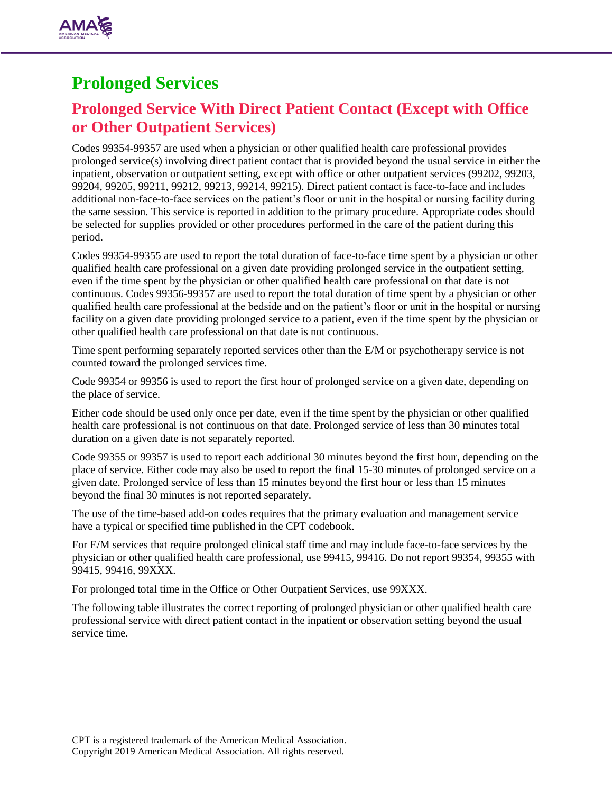

## **Prolonged Services**

### **Prolonged Service With Direct Patient Contact (Except with Office or Other Outpatient Services)**

Codes 99354-99357 are used when a physician or other qualified health care professional provides prolonged service(s) involving direct patient contact that is provided beyond the usual service in either the inpatient, observation or outpatient setting, except with office or other outpatient services (99202, 99203, 99204, 99205, 99211, 99212, 99213, 99214, 99215). Direct patient contact is face-to-face and includes additional non-face-to-face services on the patient's floor or unit in the hospital or nursing facility during the same session. This service is reported in addition to the primary procedure. Appropriate codes should be selected for supplies provided or other procedures performed in the care of the patient during this period.

Codes 99354-99355 are used to report the total duration of face-to-face time spent by a physician or other qualified health care professional on a given date providing prolonged service in the outpatient setting, even if the time spent by the physician or other qualified health care professional on that date is not continuous. Codes 99356-99357 are used to report the total duration of time spent by a physician or other qualified health care professional at the bedside and on the patient's floor or unit in the hospital or nursing facility on a given date providing prolonged service to a patient, even if the time spent by the physician or other qualified health care professional on that date is not continuous.

Time spent performing separately reported services other than the E/M or psychotherapy service is not counted toward the prolonged services time.

Code 99354 or 99356 is used to report the first hour of prolonged service on a given date, depending on the place of service.

Either code should be used only once per date, even if the time spent by the physician or other qualified health care professional is not continuous on that date. Prolonged service of less than 30 minutes total duration on a given date is not separately reported.

Code 99355 or 99357 is used to report each additional 30 minutes beyond the first hour, depending on the place of service. Either code may also be used to report the final 15-30 minutes of prolonged service on a given date. Prolonged service of less than 15 minutes beyond the first hour or less than 15 minutes beyond the final 30 minutes is not reported separately.

The use of the time-based add-on codes requires that the primary evaluation and management service have a typical or specified time published in the CPT codebook.

For E/M services that require prolonged clinical staff time and may include face-to-face services by the physician or other qualified health care professional, use 99415, 99416. Do not report 99354, 99355 with 99415, 99416, 99XXX.

For prolonged total time in the Office or Other Outpatient Services, use 99XXX.

The following table illustrates the correct reporting of prolonged physician or other qualified health care professional service with direct patient contact in the inpatient or observation setting beyond the usual service time.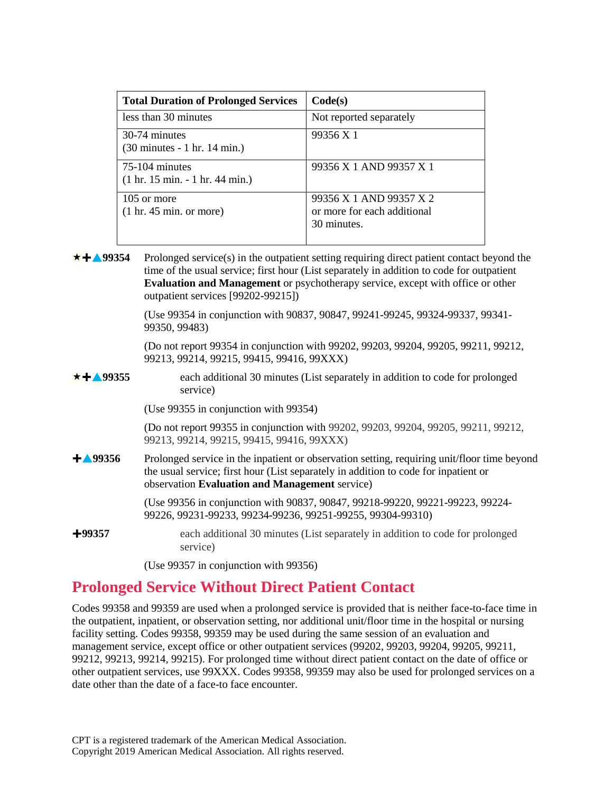| <b>Total Duration of Prolonged Services</b>                              | Code(s)                                                               |
|--------------------------------------------------------------------------|-----------------------------------------------------------------------|
| less than 30 minutes                                                     | Not reported separately                                               |
| 30-74 minutes<br>$(30 \text{ minutes} - 1 \text{ hr. } 14 \text{ min.})$ | 99356 X 1                                                             |
| $75-104$ minutes<br>$(1 hr. 15 min. - 1 hr. 44 min.)$                    | 99356 X 1 AND 99357 X 1                                               |
| 105 or more<br>(1 hr. 45 min. or more)                                   | 99356 X 1 AND 99357 X 2<br>or more for each additional<br>30 minutes. |

| $\star$ + $\triangle$ 99354 | Prolonged service(s) in the outpatient setting requiring direct patient contact beyond the<br>time of the usual service; first hour (List separately in addition to code for outpatient<br><b>Evaluation and Management</b> or psychotherapy service, except with office or other<br>outpatient services [99202-99215]) |
|-----------------------------|-------------------------------------------------------------------------------------------------------------------------------------------------------------------------------------------------------------------------------------------------------------------------------------------------------------------------|
|                             | (Use 99354 in conjunction with 90837, 90847, 99241-99245, 99324-99337, 99341-<br>99350, 99483)                                                                                                                                                                                                                          |
|                             | (Do not report 99354 in conjunction with 99202, 99203, 99204, 99205, 99211, 99212,<br>99213, 99214, 99215, 99415, 99416, 99XXX)                                                                                                                                                                                         |
| $\star$ + $\triangle$ 99355 | each additional 30 minutes (List separately in addition to code for prolonged<br>service)                                                                                                                                                                                                                               |
|                             | (Use 99355 in conjunction with 99354)                                                                                                                                                                                                                                                                                   |
|                             | (Do not report 99355 in conjunction with 99202, 99203, 99204, 99205, 99211, 99212,<br>99213, 99214, 99215, 99415, 99416, 99XXX)                                                                                                                                                                                         |
| $+ 199356$                  | Prolonged service in the inpatient or observation setting, requiring unit/floor time beyond<br>the usual service; first hour (List separately in addition to code for inpatient or<br>observation Evaluation and Management service)                                                                                    |
|                             | (Use 99356 in conjunction with 90837, 90847, 99218-99220, 99221-99223, 99224-<br>99226, 99231-99233, 99234-99236, 99251-99255, 99304-99310)                                                                                                                                                                             |
| $+99357$                    | each additional 30 minutes (List separately in addition to code for prolonged<br>service)                                                                                                                                                                                                                               |
|                             | (Use 99357 in conjunction with 99356)                                                                                                                                                                                                                                                                                   |

### **Prolonged Service Without Direct Patient Contact**

Codes 99358 and 99359 are used when a prolonged service is provided that is neither face-to-face time in the outpatient, inpatient, or observation setting, nor additional unit/floor time in the hospital or nursing facility setting. Codes 99358, 99359 may be used during the same session of an evaluation and management service, except office or other outpatient services (99202, 99203, 99204, 99205, 99211, 99212, 99213, 99214, 99215). For prolonged time without direct patient contact on the date of office or other outpatient services, use 99XXX. Codes 99358, 99359 may also be used for prolonged services on a date other than the date of a face-to face encounter.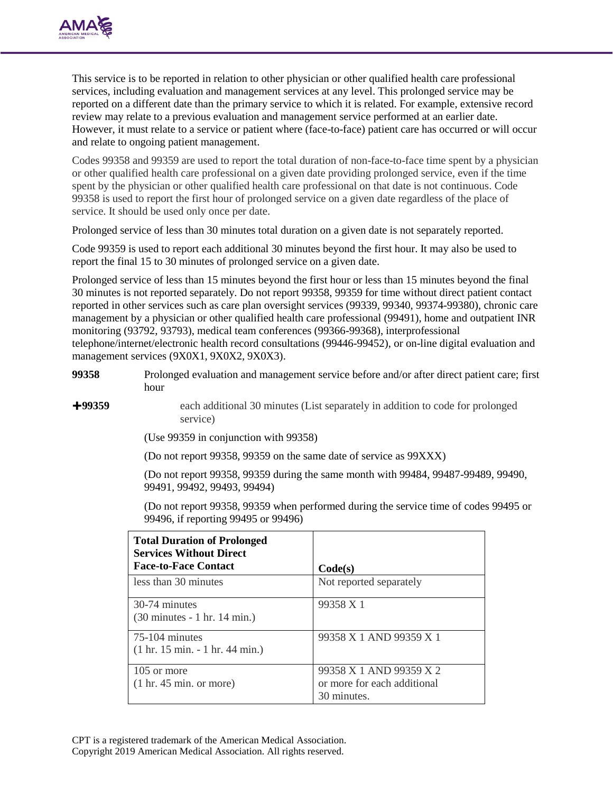

This service is to be reported in relation to other physician or other qualified health care professional services, including evaluation and management services at any level. This prolonged service may be reported on a different date than the primary service to which it is related. For example, extensive record review may relate to a previous evaluation and management service performed at an earlier date. However, it must relate to a service or patient where (face-to-face) patient care has occurred or will occur and relate to ongoing patient management.

Codes 99358 and 99359 are used to report the total duration of non-face-to-face time spent by a physician or other qualified health care professional on a given date providing prolonged service, even if the time spent by the physician or other qualified health care professional on that date is not continuous. Code 99358 is used to report the first hour of prolonged service on a given date regardless of the place of service. It should be used only once per date.

Prolonged service of less than 30 minutes total duration on a given date is not separately reported.

Code 99359 is used to report each additional 30 minutes beyond the first hour. It may also be used to report the final 15 to 30 minutes of prolonged service on a given date.

Prolonged service of less than 15 minutes beyond the first hour or less than 15 minutes beyond the final 30 minutes is not reported separately. Do not report 99358, 99359 for time without direct patient contact reported in other services such as care plan oversight services (99339, 99340, 99374-99380), chronic care management by a physician or other qualified health care professional (99491), home and outpatient INR monitoring (93792, 93793), medical team conferences (99366-99368), interprofessional telephone/internet/electronic health record consultations (99446-99452), or on-line digital evaluation and management services (9X0X1, 9X0X2, 9X0X3).

**99358** Prolonged evaluation and management service before and/or after direct patient care; first hour

**+99359** each additional 30 minutes (List separately in addition to code for prolonged service)

(Use 99359 in conjunction with 99358)

(Do not report 99358, 99359 on the same date of service as 99XXX)

(Do not report 99358, 99359 during the same month with 99484, 99487-99489, 99490, 99491, 99492, 99493, 99494)

(Do not report 99358, 99359 when performed during the service time of codes 99495 or 99496, if reporting 99495 or 99496)

| <b>Total Duration of Prolonged</b><br><b>Services Without Direct</b><br><b>Face-to-Face Contact</b> | Code(s)                                                               |
|-----------------------------------------------------------------------------------------------------|-----------------------------------------------------------------------|
| less than 30 minutes                                                                                | Not reported separately                                               |
| 30-74 minutes<br>(30 minutes - 1 hr. 14 min.)                                                       | 99358 X 1                                                             |
| $75-104$ minutes<br>$(1 hr. 15 min. - 1 hr. 44 min.)$                                               | 99358 X 1 AND 99359 X 1                                               |
| $105$ or more<br>$(1 \text{ hr. } 45 \text{ min. or more})$                                         | 99358 X 1 AND 99359 X 2<br>or more for each additional<br>30 minutes. |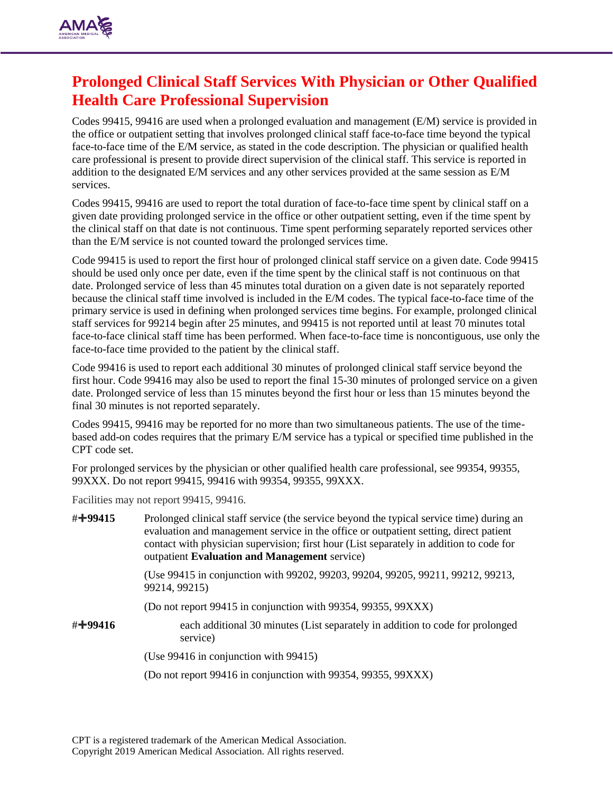

### **Prolonged Clinical Staff Services With Physician or Other Qualified Health Care Professional Supervision**

Codes 99415, 99416 are used when a prolonged evaluation and management (E/M) service is provided in the office or outpatient setting that involves prolonged clinical staff face-to-face time beyond the typical face-to-face time of the E/M service, as stated in the code description. The physician or qualified health care professional is present to provide direct supervision of the clinical staff. This service is reported in addition to the designated E/M services and any other services provided at the same session as E/M services.

Codes 99415, 99416 are used to report the total duration of face-to-face time spent by clinical staff on a given date providing prolonged service in the office or other outpatient setting, even if the time spent by the clinical staff on that date is not continuous. Time spent performing separately reported services other than the E/M service is not counted toward the prolonged services time.

Code 99415 is used to report the first hour of prolonged clinical staff service on a given date. Code 99415 should be used only once per date, even if the time spent by the clinical staff is not continuous on that date. Prolonged service of less than 45 minutes total duration on a given date is not separately reported because the clinical staff time involved is included in the E/M codes. The typical face-to-face time of the primary service is used in defining when prolonged services time begins. For example, prolonged clinical staff services for 99214 begin after 25 minutes, and 99415 is not reported until at least 70 minutes total face-to-face clinical staff time has been performed. When face-to-face time is noncontiguous, use only the face-to-face time provided to the patient by the clinical staff.

Code 99416 is used to report each additional 30 minutes of prolonged clinical staff service beyond the first hour. Code 99416 may also be used to report the final 15-30 minutes of prolonged service on a given date. Prolonged service of less than 15 minutes beyond the first hour or less than 15 minutes beyond the final 30 minutes is not reported separately.

Codes 99415, 99416 may be reported for no more than two simultaneous patients. The use of the timebased add-on codes requires that the primary E/M service has a typical or specified time published in the CPT code set.

For prolonged services by the physician or other qualified health care professional, see 99354, 99355, 99XXX. Do not report 99415, 99416 with 99354, 99355, 99XXX.

Facilities may not report 99415, 99416.

| #+99415 | Prolonged clinical staff service (the service beyond the typical service time) during an<br>evaluation and management service in the office or outpatient setting, direct patient<br>contact with physician supervision; first hour (List separately in addition to code for<br>outpatient Evaluation and Management service) |
|---------|-------------------------------------------------------------------------------------------------------------------------------------------------------------------------------------------------------------------------------------------------------------------------------------------------------------------------------|
|         | (Use 99415 in conjunction with 99202, 99203, 99204, 99205, 99211, 99212, 99213,<br>99214, 99215)                                                                                                                                                                                                                              |
|         | (Do not report 99415 in conjunction with 99354, 99355, 99XXX)                                                                                                                                                                                                                                                                 |
| #+99416 | each additional 30 minutes (List separately in addition to code for prolonged<br>service)                                                                                                                                                                                                                                     |
|         | (Use $99416$ in conjunction with $99415$ )                                                                                                                                                                                                                                                                                    |
|         | (Do not report 99416 in conjunction with 99354, 99355, 99XXX)                                                                                                                                                                                                                                                                 |
|         |                                                                                                                                                                                                                                                                                                                               |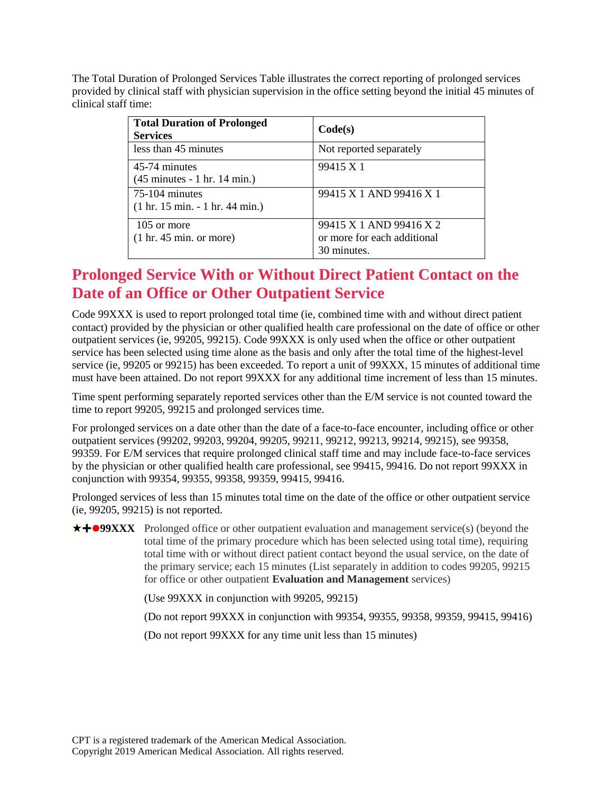The Total Duration of Prolonged Services Table illustrates the correct reporting of prolonged services provided by clinical staff with physician supervision in the office setting beyond the initial 45 minutes of clinical staff time:

| <b>Total Duration of Prolonged</b><br><b>Services</b>                    | Code(s)                                                               |
|--------------------------------------------------------------------------|-----------------------------------------------------------------------|
| less than 45 minutes                                                     | Not reported separately                                               |
| 45-74 minutes<br>$(45 \text{ minutes} - 1 \text{ hr. } 14 \text{ min.})$ | 99415 X 1                                                             |
| $75-104$ minutes<br>$(1 hr. 15 min. - 1 hr. 44 min.)$                    | 99415 X 1 AND 99416 X 1                                               |
| 105 or more<br>(1 hr. 45 min. or more)                                   | 99415 X 1 AND 99416 X 2<br>or more for each additional<br>30 minutes. |

### **Prolonged Service With or Without Direct Patient Contact on the Date of an Office or Other Outpatient Service**

Code 99XXX is used to report prolonged total time (ie, combined time with and without direct patient contact) provided by the physician or other qualified health care professional on the date of office or other outpatient services (ie, 99205, 99215). Code 99XXX is only used when the office or other outpatient service has been selected using time alone as the basis and only after the total time of the highest-level service (ie, 99205 or 99215) has been exceeded. To report a unit of 99XXX, 15 minutes of additional time must have been attained. Do not report 99XXX for any additional time increment of less than 15 minutes.

Time spent performing separately reported services other than the E/M service is not counted toward the time to report 99205, 99215 and prolonged services time.

For prolonged services on a date other than the date of a face-to-face encounter, including office or other outpatient services (99202, 99203, 99204, 99205, 99211, 99212, 99213, 99214, 99215), see 99358, 99359. For E/M services that require prolonged clinical staff time and may include face-to-face services by the physician or other qualified health care professional, see 99415, 99416. Do not report 99XXX in conjunction with 99354, 99355, 99358, 99359, 99415, 99416.

Prolonged services of less than 15 minutes total time on the date of the office or other outpatient service (ie, 99205, 99215) is not reported.

**★+●99XXX** Prolonged office or other outpatient evaluation and management service(s) (beyond the total time of the primary procedure which has been selected using total time), requiring total time with or without direct patient contact beyond the usual service, on the date of the primary service; each 15 minutes (List separately in addition to codes 99205, 99215 for office or other outpatient **Evaluation and Management** services)

(Use 99XXX in conjunction with 99205, 99215)

(Do not report 99XXX in conjunction with 99354, 99355, 99358, 99359, 99415, 99416)

(Do not report 99XXX for any time unit less than 15 minutes)